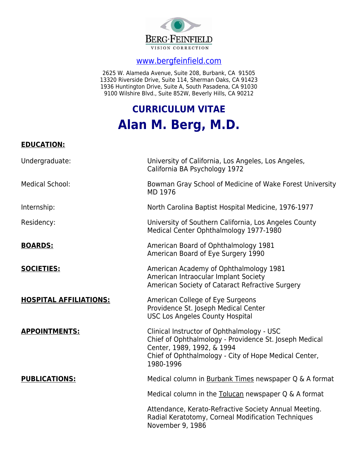

# [www.bergfeinfield.com](http://www.bergfeinfield.com/)

2625 W. Alameda Avenue, Suite 208, Burbank, CA 91505 13320 Riverside Drive, Suite 114, Sherman Oaks, CA 91423 1936 Huntington Drive, Suite A, South Pasadena, CA 91030 9100 Wilshire Blvd., Suite 852W, Beverly Hills, CA 90212

# **CURRICULUM VITAE Alan M. Berg, M.D.**

# **EDUCATION:**

| Undergraduate:                | University of California, Los Angeles, Los Angeles,<br>California BA Psychology 1972                                                                                                                     |
|-------------------------------|----------------------------------------------------------------------------------------------------------------------------------------------------------------------------------------------------------|
| <b>Medical School:</b>        | Bowman Gray School of Medicine of Wake Forest University<br>MD 1976                                                                                                                                      |
| Internship:                   | North Carolina Baptist Hospital Medicine, 1976-1977                                                                                                                                                      |
| Residency:                    | University of Southern California, Los Angeles County<br>Medical Center Ophthalmology 1977-1980                                                                                                          |
| <b>BOARDS:</b>                | American Board of Ophthalmology 1981<br>American Board of Eye Surgery 1990                                                                                                                               |
| <b>SOCIETIES:</b>             | American Academy of Ophthalmology 1981<br>American Intraocular Implant Society<br>American Society of Cataract Refractive Surgery                                                                        |
| <b>HOSPITAL AFFILIATIONS:</b> | American College of Eye Surgeons<br>Providence St. Joseph Medical Center<br><b>USC Los Angeles County Hospital</b>                                                                                       |
| <b>APPOINTMENTS:</b>          | Clinical Instructor of Ophthalmology - USC<br>Chief of Ophthalmology - Providence St. Joseph Medical<br>Center, 1989, 1992, & 1994<br>Chief of Ophthalmology - City of Hope Medical Center,<br>1980-1996 |
| <b>PUBLICATIONS:</b>          | Medical column in Burbank Times newspaper Q & A format                                                                                                                                                   |
|                               | Medical column in the Tolucan newspaper Q & A format                                                                                                                                                     |
|                               | Attendance, Kerato-Refractive Society Annual Meeting.<br>Radial Keratotomy, Corneal Modification Techniques<br>November 9, 1986                                                                          |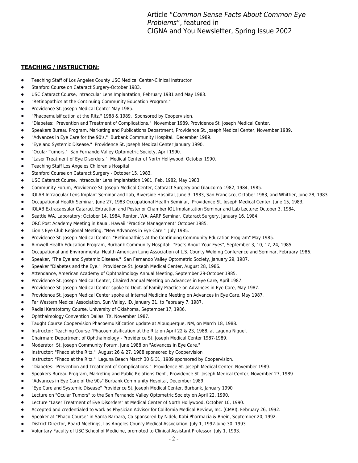Article "Common Sense Facts About Common Eye Problems", featured in CIGNA and You Newsletter, Spring Issue 2002

- Teaching Staff of Los Angeles County USC Medical Center-Clinical Instructor
- Stanford Course on Cataract Surgery-October 1983.
- USC Cataract Course, Intraocular Lens Implantation, February 1981 and May 1983.
- "Retinopathics at the Continuing Community Education Program."
- Providence St. Joseph Medical Center May 1985.
- "Phacoemulsification at the Ritz." 1988 & 1989. Sponsored by Coopervision.
- "Diabetes: Prevention and Treatment of Complications." November 1989, Providence St. Joseph Medical Center.
- Speakers Bureau Program, Marketing and Publications Department, Providence St. Joseph Medical Center, November 1989.
- "Advances in Eye Care for the 90's." Burbank Community Hospital. December 1989.
- "Eye and Systemic Disease." Providence St. Joseph Medical Center January 1990.
- "Ocular Tumors." San Fernando Valley Optometric Society, April 1990.
- "Laser Treatment of Eye Disorders." Medical Center of North Hollywood, October 1990.
- Teaching Staff Los Angeles Children's Hospital
- Stanford Course on Cataract Surgery October 15, 1983.
- USC Cataract Course, Intraocular Lens Implantation 1981, Feb. 1982, May 1983.
- Community Forum, Providence St. Joseph Medical Center, Cataract Surgery and Glaucoma 1982, 1984, 1985.
- IOLAB Intraocular Lens Implant Seminar and Lab, Riverside Hospital, June 3, 1983, San Francisco, October 1983, and Whittier, June 28, 1983.
- Occupational Health Seminar, June 27, 1983 Occupational Health Seminar, Providence St. Joseph Medical Center, June 15, 1983,
- IOLAB Extracapsular Cataract Extraction and Posterior Chamber IOL Implantation Seminar and Lab Lecture: October 3, 1984,
- Seattle WA, Laboratory: October 14, 1984, Renton, WA, AARP Seminar, Cataract Surgery, January 16, 1984.
- ORC Post Academy Meeting in Kauai, Hawaii "Practice Management" October 1985.
- Lion's Eye Club Regional Meeting, "New Advances in Eye Care." July 1985.
- Providence St. Joseph Medical Center: "Retinopathies at the Continuing Community Education Program" May 1985.
- Aimwell Health Education Program, Burbank Community Hospital: "Facts About Your Eyes", September 3, 10, 17, 24, 1985.
- Occupational and Environmental Health American Lung Association of L.S. County Welding Conference and Seminar, February 1986.
- Speaker, "The Eye and Systemic Disease." San Fernando Valley Optometric Society, January 29, 1987.
- Speaker "Diabetes and the Eye." Providence St. Joseph Medical Center, August 28, 1986.
- Attendance, American Academy of Ophthalmology Annual Meeting, September 29-October 1985.
- Providence St. Joseph Medical Center, Chaired Annual Meeting on Advances in Eye Care, April 1987.
- Providence St. Joseph Medical Center spoke to Dept. of Family Practice on Advances in Eye Care, May 1987.
- Providence St. Joseph Medical Center spoke at Internal Medicine Meeting on Advances in Eye Care, May 1987.
- Far Western Medical Association, Sun Valley, ID, January 31, to February 7, 1987.
- Radial Keratotomy Course, University of Oklahoma, September 17, 1986.
- Ophthalmology Convention Dallas, TX, November 1987.
- Taught Course Coopervision Phacoemulsification update at Albuquerque, NM, on March 18, 1988.
- Instructor: Teaching Course "Phacoemulsification at the Ritz on April 22 & 23, 1988, at Laguna Niguel.
- Chairman: Department of Ophthalmology Providence St. Joseph Medical Center 1987-1989.
- Moderator: St. Joseph Community Forum, June 1988 on "Advances in Eye Care."
- Instructor: "Phaco at the Ritz." August 26 & 27, 1988 sponsored by Coopervision
- Instructor: "Phaco at the Ritz." Laguna Beach March 30 & 31, 1989 sponsored by Coopervision.
- "Diabetes: Prevention and Treatment of Complications." Providence St. Joseph Medical Center, November 1989.
- Speakers Bureau Program, Marketing and Public Relations Dept., Providence St. Joseph Medical Center, November 27, 1989.
- "Advances in Eye Care of the 90s" Burbank Community Hospital, December 1989.
- "Eye Care and Systemic Disease" Providence St. Joseph Medical Center, Burbank, January 1990
- Lecture on "Ocular Tumors" to the San Fernando Valley Optometric Society on April 22, 1990.
- Lecture "Laser Treatment of Eye Disorders" at Medical Center of North Hollywood, October 10, 1990.
- Accepted and credentialed to work as Physician Advisor for California Medical Review, Inc. (CMRI), February 26, 1992.
- Speaker at "Phaco Course" in Santa Barbara, Co-sponsored by Nidek, Kabi Pharmacia & Rhein, September 20, 1992.
- District Director, Board Meetings, Los Angeles County Medical Association, July 1, 1992-June 30, 1993.
- Voluntary Faculty of USC School of Medicine, promoted to Clinical Assistant Professor, July 1, 1993.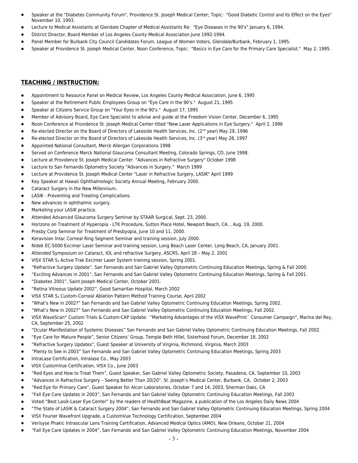- Speaker at the "Diabetes Community Forum", Providence St. Joseph Medical Center; Topic: "Good Diabetic Control and its Effect on the Eyes" November 10, 1993.
- Lecture to Medical Assistants at Glendale Chapter of Medical Assistants Re: "Eye Diseases in the 90's" January 6, 1994.
- District Director, Board Member of Los Angeles County Medical Association June 1992-1994.
- Panel Member for Burbank City Council Candidates Forum, League of Women Voters, Glendale/Burbank, February 1, 1995.
- Speaker at Providence St. Joseph Medical Center, Noon Conference, Topic: "Basics in Eye Care for the Primary Care Specialist." May 2, 1995.

- Appointment to Resource Panel on Medical Review, Los Angeles County Medical Association, June 6, 1995
- Speaker at the Retirement Public Employees Group on "Eye Care in the 90's." August 21, 1995
- Speaker at Citizens Service Group on "Your Eyes in the 90's." August 17, 1995
- Member of Advisory Board, Eye Care Specialist to advise and guide at the Freedom Vision Center, December 6, 1995
- Noon Conference at Providence St. Joseph Medical Center titled "New Laser Applications in Eye Surgery." April 2, 1996
- Re-elected Director on the Board of Directors of Lakeside Health Services, Inc. (2<sup>nd</sup> year) May 29, 1996
- Re-elected Director on the Board of Directors of Lakeside Health Services, Inc. (3<sup>rd</sup> year) May 28, 1997
- Appointed National Consultant, Merck Allergan Corporations 1998
- Served on Conference Merck National Glaucoma Consultant Meeting, Colorado Springs, CO, June 1998.
- Lecture at Providence St. Joseph Medical Center. "Advances in Refractive Surgery" October 1998
- Lecture to San Fernando Optometry Society "Advances in Surgery." March 1999
- Lecture at Providence St. Joseph Medical Center "Laser in Refractive Surgery, LASIK" April 1999
- Key Speaker at Hawaii Ophthalmologic Society Annual Meeting, February 2000.
- Cataract Surgery in the New Millennium.
- LASIK Preventing and Treating Complications.
- New advances in ophthalmic surgery.
- Marketing your LASIK practice.
- Attended Advanced Glaucoma Surgery Seminar by STAAR Surgical, Sept. 23, 2000.
- Horizons on Treatment of Hyperopia LTK Procedure, Sutton Place Hotel, Newport Beach, CA. , Aug. 19, 2000.
- Presby Corp Seminar for Treatment of Presbyopia, June 10 and 11, 2000.
- Keravision Intac Corneal Ring Segment Seminar and training session, July 2000.
- Nidek EC-5000 Excimer Laser Seminar and training session, Long Beach Laser Center, Long Beach, CA, January 2001.
- Attended Symposium on Cataract, IOL and refractive Surgery, ASCRS, April 28 May 2, 2001
- VISX STAR S<sub>3</sub> Active Trak Excimer Laser System training session, Spring 2001.
- "Refractive Surgery Update", San Fernando and San Gabriel Valley Optometric Continuing Education Meetings, Spring & Fall 2000.
- "Exciting Advances in 2001", San Fernando and San Gabriel Valley Optometric Continuing Education Meetings, Spring & Fall 2001.
- "Diabetes 2001", Saint Joseph Medical Center, October 2001.
- "Retina Vitreous Update 2002", Good Samaritan Hospital, March 2002
- VISX STAR S3 Custom-Corneal Ablation Pattern Method Training Course, April 2002
- "What's New in 2002?" San Fernando and San Gabriel Valley Optometric Continuing Education Meetings, Spring 2002.
- "What's New in 2002?" San Fernando and San Gabriel Valley Optometric Continuing Education Meetings, Fall 2002.
- VISX WaveScan® Custom Trials & Custom-CAP Update: "Marketing Advantages of the VISX WavePrint™ Consumer Campaign", Marina del Rey, CA, September 25, 2002
- "Ocular Manifestation of Systemic Diseases" San Fernando and San Gabriel Valley Optometric Continuing Education Meetings, Fall 2002.
- "Eye Care for Mature People", Senior Citizens' Group, Temple Beth Hillel, Sisterhood Forum, December 18, 2002
- "Refractive Surgery Updates", Guest Speaker at University of Virginia, Richmond, Virginia, March 2003
- "Plenty to See in 2003" San Fernando and San Gabriel Valley Optometric Continuing Education Meetings, Spring 2003
- IntraLase Certification, Intralase Co., May 2003
- VISX CustomVue Certification, VISX Co., June 2003
- "Red Eyes and How to Treat Them", Guest Speaker, San Gabriel Valley Optometric Society, Pasadena, CA, September 10, 2003
- "Advances in Refractive Surgery Seeing Better Than 20/20", St. Joseph's Medical Center, Burbank, CA, October 2, 2003
- "Red Eye for Primary Care", Guest Speaker for Alcon Laboratories, October 7 and 14, 2003, Sherman Oaks, CA
- "Fall Eye Care Updates in 2003", San Fernando and San Gabriel Valley Optometric Continuing Education Meetings, Fall 2003
- Voted "Best Lasik-Laser Eye Center" by the readers of HealthBeat Magazine, a publication of the Los Angeles Daily News 2004
- "The State of LASIK & Cataract Surgery 2004", San Fernando and San Gabriel Valley Optometric Continuing Education Meetings, Spring 2004
- VISX Fourier Wavefront Upgrade, a CustomVue Technology Certification, September 2004
- Verisyse Phakic Intraocular Lens Training Certification, Advanced Medical Optics (AMO), New Orleans, October 21, 2004
- "Fall Eye Care Updates in 2004", San Fernando and San Gabriel Valley Optometric Continuing Education Meetings, November 2004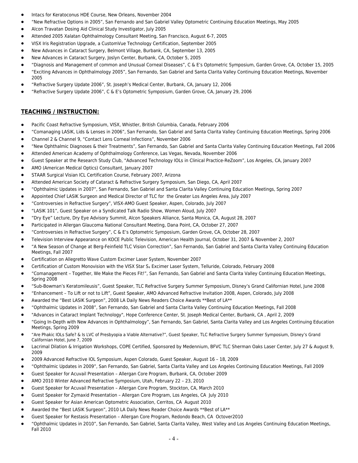- Intacs for Keratoconus HDE Course, New Orleans, November 2004
- "New Refractive Options in 2005", San Fernando and San Gabriel Valley Optometric Continuing Education Meetings, May 2005
- Alcon Travatan Dosing Aid Clinical Study Investigator, July 2005
- Attended 2005 Xalatan Ophthalmology Consultant Meeting, San Francisco, August 6-7, 2005
- VISX Iris Registration Upgrade, a CustomVue Technology Certification, September 2005
- New Advances in Cataract Surgery, Belmont Village, Burbank, CA, September 13, 2005
- New Advances in Cataract Surgery, Joslyn Center, Burbank, CA, October 5, 2005
- "Diagnosis and Management of common and Unusual Corneal Diseases", C & E's Optometric Symposium, Garden Grove, CA, October 15, 2005
- "Exciting Advances in Ophthalmology 2005", San Fernando, San Gabriel and Santa Clarita Valley Continuing Education Meetings, November 2005
- "Refractive Surgery Update 2006", St. Joseph's Medical Center, Burbank, CA, January 12, 2006
- "Refractive Surgery Update 2006", C & E's Optometric Symposium, Garden Grove, CA, January 29, 2006

- Pacific Coast Refractive Symposium, VISX, Whistler, British Columbia, Canada, February 2006
- "Comanaging LASIK, Lids & Lenses in 2006", San Fernando, San Gabriel and Santa Clarita Valley Continuing Education Meetings, Spring 2006
- Channel 2 & Channel 9, "Contact Lens Corneal Infections", November 2006
- "New Ophthalmic Diagnoses & their Treatments", San Fernando, San Gabriel and Santa Clarita Valley Continuing Education Meetings, Fall 2006
- Attended American Academy of Ophthalmology Conference, Las Vegas, Nevada, November 2006
- Guest Speaker at the Research Study Club, "Advanced Technology IOLs in Clinical Practice-ReZoom", Los Angeles, CA, January 2007
- AMO (American Medical Optics) Consultant, January 2007
- STAAR Surgical Visian ICL Certification Course, February 2007, Arizona
- Attended American Society of Cataract & Refractive Surgery Symposium, San Diego, CA, April 2007
- "Ophthalmic Updates in 2007", San Fernando, San Gabriel and Santa Clarita Valley Continuing Education Meetings, Spring 2007
- Appointed Chief LASIK Surgeon and Medical Director of TLC for the Greater Los Angeles Area, July 2007
- "Controversies in Refractive Surgery", VISX-AMO Guest Speaker, Aspen, Colorado, July 2007
- "LASIK 101", Guest Speaker on a Syndicated Talk Radio Show, Women Aloud, July 2007
- "Dry Eye" Lecture, Dry Eye Advisory Summit, Alcon Speakers Alliance, Santa Monica, CA, August 28, 2007
- Participated in Allergan Glaucoma National Consultant Meeting, Dana Point, CA, October 27, 2007
- "Controversies in Refractive Surgery", C & E's Optometric Symposium, Garden Grove, CA, October 28, 2007
- Television Interview Appearance on KOCE Public Television, American Health Journal, October 31, 2007 & November 2, 2007
- "A New Season of Change at Berg-Feinfield TLC Vision Correction", San Fernando, San Gabriel and Santa Clarita Valley Continuing Education Meetings, Fall 2007
- Certification on Allegretto Wave Custom Excimer Laser System, November 2007
- Certification of Custom Monovision with the VISX Star S<sub>4</sub> Excimer Laser System, Telluride, Colorado, February 2008
- "Comanagement Together, We Make the Pieces Fit!", San Fernando, San Gabriel and Santa Clarita Valley Continuing Education Meetings, Spring 2008
- "Sub-Bowman's Keratomileusis", Guest Speaker, TLC Refractive Surgery Summer Symposium, Disney's Grand Californian Hotel, June 2008
- "Enhancement To Lift or not to Lift", Guest Speaker, AMO Advanced Refractive Invitation 2008, Aspen, Colorado, July 2008
- Awarded the "Best LASIK Surgeon", 2008 LA Daily News Readers Choice Awards \*\*Best of LA\*\*
- "Ophthalmic Updates in 2008", San Fernando, San Gabriel and Santa Clarita Valley Continuing Education Meetings, Fall 2008
- "Advances in Cataract Implant Technology", Hope Conference Center, St. Joseph Medical Center, Burbank, CA , April 2, 2009
- "Going In-Depth with New Advances in Ophthalmology", San Fernando, San Gabriel, Santa Clarita Valley and Los Angeles Continuing Education Meetings, Spring 2009
- "Are Phakic IOLs Safe? & Is LVC of Presbyopia a Viable Alternative?", Guest Speaker, TLC Refractive Surgery Summer Symposium, Disney's Grand Californian Hotel, June 7, 2009
- Lacrimal Dilation & Irrigation Workshops, COPE Certified, Sponsored by Medennium, BFVC TLC Sherman Oaks Laser Center, July 27 & August 9, 2009
- 2009 Advanced Refractive IOL Symposium, Aspen Colorado, Guest Speaker, August 16 18, 2009
- "Ophthalmic Updates in 2009", San Fernando, San Gabriel, Santa Clarita Valley and Los Angeles Continuing Education Meetings, Fall 2009
- Guest Speaker for Acuvail Presentation Allergan Core Program, Burbank, CA, October 2009
- AMO 2010 Winter Advanced Refractive Symposium, Utah, February 22 23, 2010
- Guest Speaker for Acuvail Presentation Allergan Core Program, Stockton, CA, March 2010
- Guest Speaker for Zymaxid Presentation Allergan Core Program, Los Angeles, CA July 2010
- Guest Speaker for Asian American Optometric Association, Cerritos, CA August 2010
- Awarded the "Best LASIK Surgeon", 2010 LA Daily News Reader Choice Awards \*\*Best of LA\*\*
- Guest Speaker for Restasis Presentation Allergan Core Program, Redondo Beach, CA Octover2010
- "Ophthalmic Updates in 2010", San Fernando, San Gabriel, Santa Clarita Valley, West Valley and Los Angeles Continuing Education Meetings, Fall 2010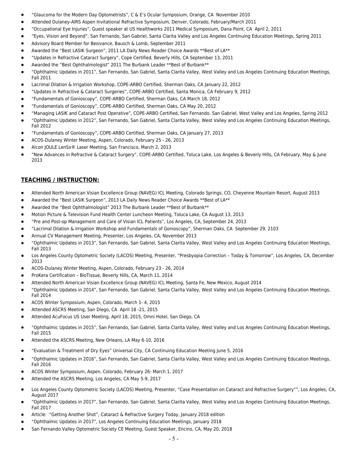- "Glaucoma for the Modern Day Optometrists", C & E's Ocular Symposium, Orange, CA November 2010
- Attended Dulaney-AIRS Aspen Invitational Refractive Symposium, Denver, Colorado, February/March 2011
- "Occupational Eye Injuries", Guest speaker at US Healthworks 2011 Medical Symposium, Dana Point, CA April 2, 2011
- "Eyes, Vision and Beyond", San Fernando, San Gabriel, Santa Clarita Valley and Los Angeles Continuing Education Meetings, Spring 2011
- Advisory Board Member for Besivance, Bausch & Lomb, September 2011
- Awarded the "Best LASIK Surgeon", 2011 LA Daily News Reader Choice Awards \*\*Best of LA\*\*
- "Updates in Refractive Cataract Surgery", Cope Certified, Beverly Hills, CA September 13, 2011
- Awarded the "Best Ophthalmologist" 2011 The Burbank Leader \*\*Best of Burbank\*\*
- "Ophthalmic Updates in 2011", San Fernando, San Gabriel, Santa Clarita Valley, West Valley and Los Angeles Continuing Education Meetings, Fall 2011
- Lacrimal Dilation & Irrigation Workshop, COPE-ARBO Certified, Sherman Oaks, CA January 22, 2012
- "Updates in Refractive & Cataract Surgeries", COPE-ARBO Certified, Santa Monica, CA February 9, 2012
- "Fundamentals of Gonioscopy", COPE-ARBO Certified, Sherman Oaks, CA March 18, 2012
- "Fundamentals of Gonioscopy", COPE-ARBO Certified, Sherman Oaks, CA May 20, 2012
- "Managing LASIK and Cataract Post Operative", COPE-ARBO Certified, San Fernando. San Gabriel, West Valley and Los Angeles, Spring 2012
- "Ophthalmic Updates in 2012", San Fernando, San Gabriel, Santa Clarita Valley, West Valley and Los Angeles Continuing Education Meetings, Fall 2012
- "Fundamentals of Gonioscopy", COPE-ARBO Certified, Sherman Oaks, CA January 27, 2013
- ACOS-Dulaney Winter Meeting, Aspen, Colorado, February 25 26, 2013
- Alcon JOULE LenSx® Laser Meeting, San Francisco, March 2, 2013
- "New Advances in Refractive & Cataract Surgery", COPE-ARBO Certified, Toluca Lake, Los Angeles & Beverly Hills, CA February, May & June 2013

- Attended North American Visian Excellence Group (NAVEG) ICL Meeting, Colorado Springs, CO, Cheyenne Mountain Resort, August 2013
- Awarded the "Best LASIK Surgeon", 2013 LA Daily News Reader Choice Awards \*\*Best of LA\*\*
- Awarded the "Best Ophthalmologist" 2013 The Burbank Leader \*\*Best of Burbank\*\*
- Motion Picture & Television Fund Health Center Luncheon Meeting, Toluca Lake, CA August 13, 2013
- "Pre and Post-op Management and Care of Visian ICL Patients", Los Angeles, CA, September 24, 2013
- "Lacrimal Dilation & Irrigation Workshop and Fundamentals of Gonioscopy", Sherman Oaks, CA September 29, 2103
- Annual CV Management Meeting, Presenter, Los Angeles, CA, November 2013
- "Ophthalmic Updates in 2013", San Fernando, San Gabriel, Santa Clarita Valley, West Valley and Los Angeles Continuing Education Meetings, Fall 2013
- Los Angeles County Optometric Society (LACOS) Meeting, Presenter, "Presbyopia Correction Today & Tomorrow", Los Angeles, CA, December 2013
- ACOS-Dulaney Winter Meeting, Aspen, Colorado, February 23 26, 2014
- ProKera Certification BioTissue, Beverly Hills, CA, March 11, 2014
- Attended North American Visian Excellence Group (NAVEG) ICL Meeting, Santa Fe, New Mexico, August 2014
- "Ophthalmic Updates in 2014", San Fernando, San Gabriel, Santa Clarita Valley, West Valley and Los Angeles Continuing Education Meetings, Fall 2014
- ACOS Winter Symposium, Aspen, Colorado, March 1- 4, 2015
- Attended ASCRS Meeting, San Diego, CA April 18 -21, 2015
- Attended AcuFocus US User Meeting, April 18, 2015, Omni Hotel, San Diego, CA
- "Ophthalmic Updates in 2015", San Fernando, San Gabriel, Santa Clarita Valley, West Valley and Los Angeles Continuing Education Meetings, Fall 2015
- Attended the ASCRS Meeting, New Orleans, LA May 6-10, 2016
- "Evaluation & Treatment of Dry Eyes" Universal City, CA Continuing Education Meeting June 5, 2016
- "Ophthalmic Updates in 2016", San Fernando, San Gabriel, Santa Clarita Valley, West Valley and Los Angeles Continuing Education Meetings, Fall 2016
- ACOS Winter Symposium, Aspen, Colorado, February 26- March 1, 2017
- Attended the ASCRS Meeting, Los Angeles, CA May 5-9, 2017
- Los Angeles County Optometric Society (LACOS) Meeting, Presenter, "Case Presentation on Cataract and Refractive Surgery"", Los Angeles, CA, August 2017
- "Ophthalmic Updates in 2017", San Fernando, San Gabriel, Santa Clarita Valley, West Valley and Los Angeles Continuing Education Meetings, Fall 2017
- Article: "Getting Another Shot", Cataract & Refractive Surgery Today, January 2018 edition
- "Ophthalmic Updates in 2017", Los Angeles Continuing Education Meetings, January 2018
- San Fernando Valley Optometric Society CE Meeting, Guest Speaker, Encino, CA, May 20, 2018